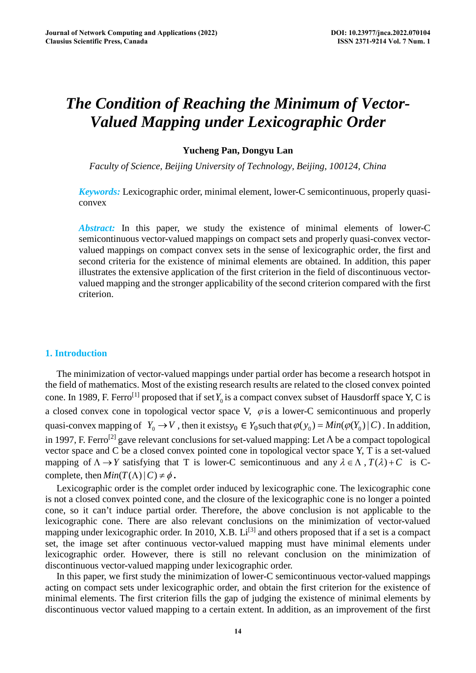# *The Condition of Reaching the Minimum of Vector-Valued Mapping under Lexicographic Order*

## **Yucheng Pan, Dongyu Lan**

*Faculty of Science, Beijing University of Technology, Beijing, 100124, China* 

*Keywords:* Lexicographic order, minimal element, lower-C semicontinuous, properly quasiconvex

*Abstract:* In this paper, we study the existence of minimal elements of lower-C semicontinuous vector-valued mappings on compact sets and properly quasi-convex vectorvalued mappings on compact convex sets in the sense of lexicographic order, the first and second criteria for the existence of minimal elements are obtained. In addition, this paper illustrates the extensive application of the first criterion in the field of discontinuous vectorvalued mapping and the stronger applicability of the second criterion compared with the first criterion.

# **1. Introduction**

The minimization of vector-valued mappings under partial order has become a research hotspot in the field of mathematics. Most of the existing research results are related to the closed convex pointed cone. In 1989, F. Ferro<sup>[1]</sup> proposed that if set  $Y_0$  is a compact convex subset of Hausdorff space Y, C is a closed convex cone in topological vector space V,  $\varphi$  is a lower-C semicontinuous and properly quasi-convex mapping of  $Y_0 \to V$ , then it exists $y_0 \in Y_0$  such that  $\varphi(y_0) = Min(\varphi(Y_0) | C)$ . In addition, in 1997, F. Ferro<sup>[2]</sup> gave relevant conclusions for set-valued mapping: Let  $\Lambda$  be a compact topological vector space and C be a closed convex pointed cone in topological vector space Y, T is a set-valued mapping of  $\Lambda \to Y$  satisfying that T is lower-C semicontinuous and any  $\lambda \in \Lambda$ ,  $T(\lambda) + C$  is Ccomplete, then  $Min(T(\Lambda)|C) \neq \phi$ .

Lexicographic order is the complet order induced by lexicographic cone. The lexicographic cone is not a closed convex pointed cone, and the closure of the lexicographic cone is no longer a pointed cone, so it can't induce partial order. Therefore, the above conclusion is not applicable to the lexicographic cone. There are also relevant conclusions on the minimization of vector-valued mapping under lexicographic order. In 2010, X.B.  $Li^{[3]}$  and others proposed that if a set is a compact set, the image set after continuous vector-valued mapping must have minimal elements under lexicographic order. However, there is still no relevant conclusion on the minimization of discontinuous vector-valued mapping under lexicographic order.

In this paper, we first study the minimization of lower-C semicontinuous vector-valued mappings acting on compact sets under lexicographic order, and obtain the first criterion for the existence of minimal elements. The first criterion fills the gap of judging the existence of minimal elements by discontinuous vector valued mapping to a certain extent. In addition, as an improvement of the first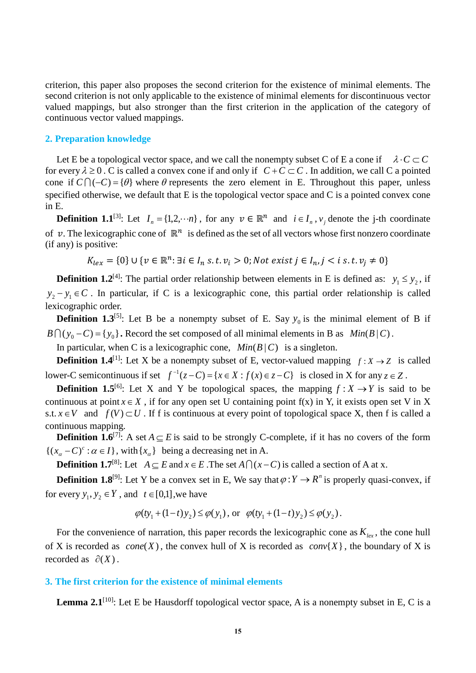criterion, this paper also proposes the second criterion for the existence of minimal elements. The second criterion is not only applicable to the existence of minimal elements for discontinuous vector valued mappings, but also stronger than the first criterion in the application of the category of continuous vector valued mappings.

### **2. Preparation knowledge**

Let E be a topological vector space, and we call the nonempty subset C of E a cone if  $\lambda \cdot C \subset C$ for every  $\lambda \ge 0$ . C is called a convex cone if and only if  $C+C \subset C$ . In addition, we call C a pointed cone if  $C \cap (-C) = \{\theta\}$  where  $\theta$  represents the zero element in E. Throughout this paper, unless specified otherwise, we default that E is the topological vector space and C is a pointed convex cone in E.

**Definition 1.1**<sup>[3]</sup>: Let  $I_n = \{1, 2, \dots n\}$ , for any  $v \in \mathbb{R}^n$  and  $i \in I_n$ ,  $v_i$  denote the j-th coordinate of v. The lexicographic cone of  $\mathbb{R}^n$  is defined as the set of all vectors whose first nonzero coordinate (if any) is positive:

 $K_{lex} = \{0\} \cup \{v \in \mathbb{R}^n : \exists i \in I_n \text{ s.t. } v_i > 0\}$ ; Not exist  $j \in I_n$ ,  $j < i \text{ s.t. } v_i \neq 0\}$ 

**Definition 1.2<sup>[4]</sup>:** The partial order relationship between elements in E is defined as:  $y_1 \le y_2$ , if  $y_2 - y_1 \in C$ . In particular, if C is a lexicographic cone, this partial order relationship is called lexicographic order.

**Definition 1.3**<sup>[5]</sup>: Let B be a nonempty subset of E. Say  $y_0$  is the minimal element of B if  $B \bigcap (y_0 - C) = \{y_0\}$ . Record the set composed of all minimal elements in B as *Min*( $B \mid C$ ).

In particular, when C is a lexicographic cone,  $Min(B|C)$  is a singleton.

**Definition 1.4<sup>[1]</sup>:** Let X be a nonempty subset of E, vector-valued mapping  $f: X \rightarrow Z$  is called lower-C semicontinuous if set  $f^{-1}(z-C) = \{x \in X : f(x) \in z-C\}$  is closed in X for any  $z \in Z$ .

**Definition 1.5**<sup>[6]</sup>: Let X and Y be topological spaces, the mapping  $f: X \rightarrow Y$  is said to be continuous at point  $x \in X$ , if for any open set U containing point f(x) in Y, it exists open set V in X s.t.  $x \in V$  and  $f(V) \subset U$ . If f is continuous at every point of topological space X, then f is called a continuous mapping.

**Definition 1.6**<sup>[7]</sup>: A set  $A \subset E$  is said to be strongly C-complete, if it has no covers of the form  $\{(x_{\alpha}-C)^c : \alpha \in I\}$ , with  $\{x_{\alpha}\}\$  being a decreasing net in A.

**Definition 1.7**<sup>[8]</sup>: Let  $A \subseteq E$  and  $x \in E$ . The set  $A \cap (x - C)$  is called a section of A at x.

**Definition 1.8**<sup>[9]</sup>: Let Y be a convex set in E, We say that  $\varphi: Y \to R^n$  is properly quasi-convex, if for every  $y_1, y_2 \in Y$ , and  $t \in [0,1]$ , we have

$$
\varphi(ty_1 + (1-t)y_2) \le \varphi(y_1)
$$
, or  $\varphi(ty_1 + (1-t)y_2) \le \varphi(y_2)$ .

For the convenience of narration, this paper records the lexicographic cone as  $K_{lex}$ , the cone hull of X is recorded as  $cone(X)$ , the convex hull of X is recorded as  $conv\{X\}$ , the boundary of X is recorded as  $\partial(X)$ .

## **3. The first criterion for the existence of minimal elements**

Lemma 2.1<sup>[10]</sup>: Let E be Hausdorff topological vector space, A is a nonempty subset in E, C is a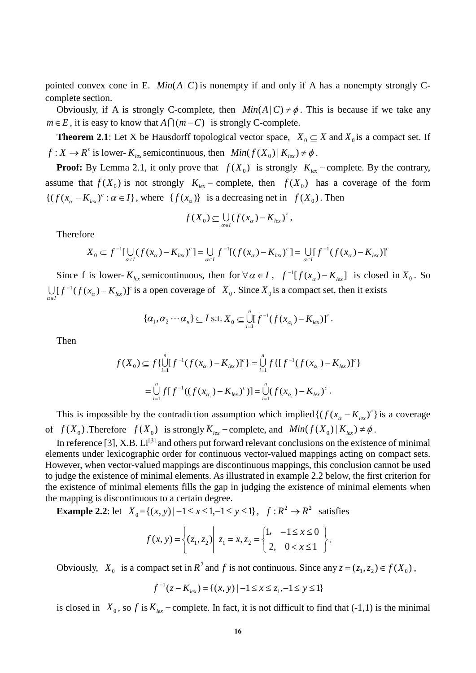pointed convex cone in E.  $Min(A|C)$  is nonempty if and only if A has a nonempty strongly Ccomplete section.

Obviously, if A is strongly C-complete, then  $Min(A|C) \neq \emptyset$ . This is because if we take any  $m \in E$ , it is easy to know that  $A \cap (m - C)$  is strongly C-complete.

**Theorem 2.1**: Let X be Hausdorff topological vector space,  $X_0 \subseteq X$  and  $X_0$  is a compact set. If  $f: X \to \mathbb{R}^n$  is lower-  $K_{lex}$  semicontinuous, then  $Min(f(X_0) | K_{lex}) \neq \emptyset$ .

**Proof:** By Lemma 2.1, it only prove that  $f(X_0)$  is strongly  $K_{lex}$  − complete. By the contrary, assume that  $f(X_0)$  is not strongly  $K_{lex}$  − complete, then  $f(X_0)$  has a coverage of the form  $\{(f(x_{\alpha} - K_{lex})^c : \alpha \in I\},\$  where  $\{f(x_{\alpha})\}$  is a decreasing net in  $f(X_0)$ . Then

$$
f(X_0) \subseteq \bigcup_{\alpha \in I} (f(x_\alpha) - K_{\text{lex}})^c,
$$

Therefore

$$
X_0 \subseteq f^{-1}[\bigcup_{\alpha \in I} (f(x_\alpha) - K_{\text{lex}})^c] = \bigcup_{\alpha \in I} f^{-1}[(f(x_\alpha) - K_{\text{lex}})^c] = \bigcup_{\alpha \in I} [f^{-1}(f(x_\alpha) - K_{\text{lex}})]^c
$$

Since f is lower-  $K_{lex}$  semicontinuous, then for  $\forall \alpha \in I$ ,  $f^{-1}[f(x_{\alpha}) - K_{lex}]$  is closed in  $X_0$ . So *c*  $\bigcup_{\alpha \in I} [f^{-1}(f(x_{\alpha}) - K_{lex})]^c$  is a open coverage of  $X_0$ . Since  $X_0$  is a compact set, then it exists

$$
\{\alpha_1,\alpha_2\cdots\alpha_n\}\subseteq I \text{ s.t. } X_0\subseteq \bigcup_{i=1}^n [f^{-1}(f(x_{\alpha_i})-K_{lex})]^c.
$$

Then

$$
f(X_0) \subseteq f\{\bigcup_{i=1}^n [f^{-1}(f(x_{\alpha_i}) - K_{lex})]^c\} = \bigcup_{i=1}^n f\{[f^{-1}(f(x_{\alpha_i}) - K_{lex})]^c\}
$$
  

$$
= \bigcup_{i=1}^n f[f^{-1}((f(x_{\alpha_i}) - K_{lex})^c)] = \bigcup_{i=1}^n (f(x_{\alpha_i}) - K_{lex})^c.
$$

This is impossible by the contradiction assumption which implied  $\{(f(x_{\alpha} - K_{\text{lex}})^c)\}$  is a coverage of  $f(X_0)$ . Therefore  $f(X_0)$  is strongly  $K_{lex}$  − complete, and  $Min(f(X_0) | K_{lex}) \neq \emptyset$ .

In reference [3], X.B.  $Li^{[3]}$  and others put forward relevant conclusions on the existence of minimal elements under lexicographic order for continuous vector-valued mappings acting on compact sets. However, when vector-valued mappings are discontinuous mappings, this conclusion cannot be used to judge the existence of minimal elements. As illustrated in example 2.2 below, the first criterion for the existence of minimal elements fills the gap in judging the existence of minimal elements when the mapping is discontinuous to a certain degree.

**Example 2.2**: let  $X_0 = \{(x, y) | -1 \le x \le 1, -1 \le y \le 1\}$ ,  $f: R^2 \to R^2$  satisfies

$$
f(x, y) = \left\{ (z_1, z_2) \middle| \ z_1 = x, z_2 = \begin{cases} 1, & -1 \le x \le 0 \\ 2, & 0 < x \le 1 \end{cases} \right\}.
$$

Obviously,  $X_0$  is a compact set in  $R^2$  and f is not continuous. Since any  $z = (z_1, z_2) \in f(X_0)$ ,

$$
f^{-1}(z - K_{lex}) = \{(x, y) \mid -1 \le x \le z_1, -1 \le y \le 1\}
$$

is closed in  $X_0$ , so f is  $K_{lex}$  − complete. In fact, it is not difficult to find that (-1,1) is the minimal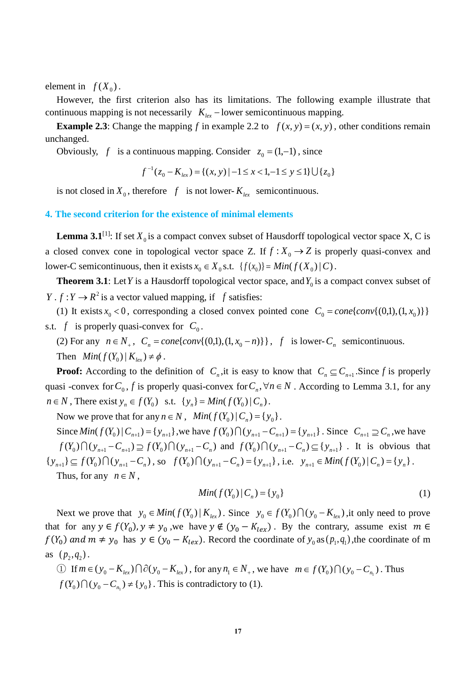element in  $f(X_0)$ .

However, the first criterion also has its limitations. The following example illustrate that continuous mapping is not necessarily  $K_{lex}$  – lower semicontinuous mapping.

**Example 2.3**: Change the mapping *f* in example 2.2 to  $f(x, y) = (x, y)$ , other conditions remain unchanged.

Obviously, *f* is a continuous mapping. Consider  $z_0 = (1, -1)$ , since

$$
f^{-1}(z_0 - K_{lex}) = \{(x, y) \mid -1 \le x < 1, -1 \le y \le 1\} \cup \{z_0\}
$$

is not closed in  $X_0$ , therefore f is not lower- $K_{lex}$  semicontinuous.

## **4. The second criterion for the existence of minimal elements**

**Lemma 3.1**<sup>[1]</sup>: If set  $X_0$  is a compact convex subset of Hausdorff topological vector space X, C is a closed convex cone in topological vector space Z. If  $f: X_0 \to Z$  is properly quasi-convex and lower-C semicontinuous, then it exists  $x_0 \in X_0$  s.t.  $\{f(x_0)\}\ = \text{Min}(f(X_0) \mid C)$ .

**Theorem 3.1**: Let *Y* is a Hausdorff topological vector space, and  $Y_0$  is a compact convex subset of *Y* .  $f: Y \to R^2$  is a vector valued mapping, if *f* satisfies:

(1) It exists  $x_0 < 0$ , corresponding a closed convex pointed cone  $C_0 = cone\{conv\{(0,1), (1, x_0)\}\}\$ s.t. *f* is properly quasi-convex for  $C_0$ .

(2) For any  $n \in N_+$ ,  $C_n = cone\{conv\{(0,1), (1, x_0 - n)\}\}\$ , f is lower- $C_n$  semicontinuous. Then  $Min(f(Y_0) | K_{I_{\text{ex}}}) \neq \phi$ .

**Proof:** According to the definition of  $C_n$ , it is easy to know that  $C_n \subseteq C_{n+1}$ . Since f is properly quasi -convex for  $C_0$ ,  $f$  is properly quasi-convex for  $C_n$ ,  $\forall n \in N$ . According to Lemma 3.1, for any  $n \in N$ , There exist  $y_n \in f(Y_0)$  s.t.  $\{y_n\} = Min(f(Y_0) | C_n)$ .

Now we prove that for any  $n \in N$ ,  $Min(f(Y_0) | C_n) = \{y_0\}.$ 

Since  $Min(f(Y_0) | C_{n+1}) = \{y_{n+1}\}\$ , we have  $f(Y_0) \bigcap (y_{n+1} - C_{n+1}) = \{y_{n+1}\}\$ . Since  $C_{n+1} \supseteq C_n$ , we have  $f(Y_0)\bigcap(y_{n+1}-C_{n+1})\supseteq f(Y_0)\bigcap(y_{n+1}-C_n)$  and  $f(Y_0)\bigcap(y_{n+1}-C_n)\subseteq\{y_{n+1}\}\$ . It is obvious that  $\{y_{n+1}\}\subseteq f(Y_0)\bigcap(y_{n+1}-C_n)$ , so  $f(Y_0)\bigcap(y_{n+1}-C_n)=\{y_{n+1}\}\$ , i.e.  $y_{n+1}\in Min(f(Y_0)|C_n)=\{y_n\}$ . Thus, for any  $n \in N$ ,

$$
Min(f(Y_0) | C_n) = \{y_0\}
$$
 (1)

Next we prove that  $y_0 \in Min(f(Y_0) | K_{lex})$ . Since  $y_0 \in f(Y_0) \cap (y_0 - K_{lex})$ , it only need to prove that for any  $y \in f(Y_0)$ ,  $y \neq y_0$ , we have  $y \notin (y_0 - K_{lex})$ . By the contrary, assume exist  $m \in$  $f(Y_0)$  and  $m \neq y_0$  has  $y \in (y_0 - K_{lex})$ . Record the coordinate of  $y_0$  as  $(p_1, q_1)$ , the coordinate of m as  $(p_2, q_2)$ .

① If  $m \in (y_0 - K_{lex}) \cap \partial(y_0 - K_{lex})$ , for any  $n_1 \in N_+$ , we have  $m \in f(Y_0) \cap (y_0 - C_{n_1})$ . Thus  $f(Y_0) \bigcap (y_0 - C_{n_i}) \neq \{y_0\}$ . This is contradictory to (1).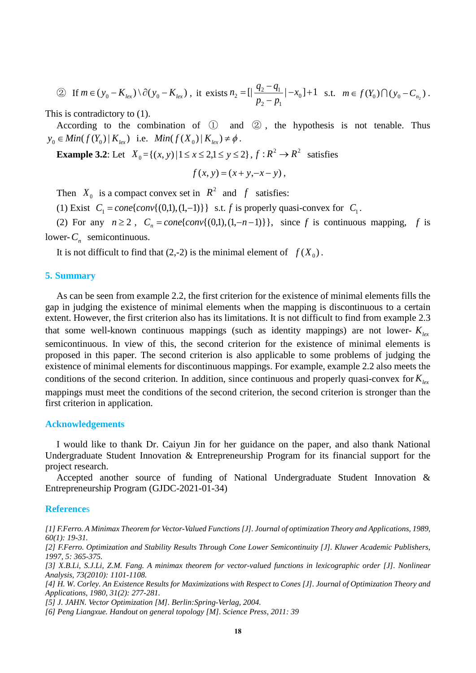② If  $m \in (y_0 - K_{lex}) \setminus \partial(y_0 - K_{lex})$ , it exists  $n_2 = \left[\frac{q_2 - q_1}{q_2 - q_1}\right] - x_0 + 1$ 2  $P_1$  $\mathbf{I}_2 = \left[ \left| \frac{\mathbf{q}_2 - \mathbf{q}_1}{p_2 - p_1} \right| - x_0 \right] +$  $=$   $\left[ \left| \frac{q_2 - q_1}{q_2 - q_1} \right| - x \right]$  $n_2 = \left[\frac{q_2 - q_1}{p_2 - p_1} \middle| -x_0\right] + 1$  s.t.  $m \in f(Y_0) \cap (y_0 - C_{n_2})$ .

This is contradictory to (1).

According to the combination of  $\mathbb D$  and  $\mathbb Q$ , the hypothesis is not tenable. Thus  $y_0 \in Min(f(Y_0) | K_{I_{\text{av}}})$  i.e.  $Min(f(X_0) | K_{I_{\text{av}}}) \neq \emptyset$ .

**Example 3.2:** Let  $X_0 = \{(x, y) | 1 \le x \le 2, 1 \le y \le 2\}$ ,  $f : R^2 \to R^2$  satisfies

$$
f(x, y) = (x + y, -x - y),
$$

Then  $X_0$  is a compact convex set in  $R^2$  and  $f$  satisfies:

(1) Exist  $C_1 = cone\{conv\{(0,1), (1,-1)\}\}\$  s.t. *f* is properly quasi-convex for  $C_1$ .

(2) For any  $n \ge 2$ ,  $C_n = cone\{conv\{(0,1), (1,-n-1)\}\}\$ , since f is continuous mapping, f is lower- $C_n$  semicontinuous.

It is not difficult to find that  $(2,-2)$  is the minimal element of  $f(X_0)$ .

### **5. Summary**

As can be seen from example 2.2, the first criterion for the existence of minimal elements fills the gap in judging the existence of minimal elements when the mapping is discontinuous to a certain extent. However, the first criterion also has its limitations. It is not difficult to find from example 2.3 that some well-known continuous mappings (such as identity mappings) are not lower-  $K_{\text{per}}$ semicontinuous. In view of this, the second criterion for the existence of minimal elements is proposed in this paper. The second criterion is also applicable to some problems of judging the existence of minimal elements for discontinuous mappings. For example, example 2.2 also meets the conditions of the second criterion. In addition, since continuous and properly quasi-convex for  $K_{lex}$ mappings must meet the conditions of the second criterion, the second criterion is stronger than the first criterion in application.

## **Acknowledgements**

I would like to thank Dr. Caiyun Jin for her guidance on the paper, and also thank National Undergraduate Student Innovation & Entrepreneurship Program for its financial support for the project research.

Accepted another source of funding of National Undergraduate Student Innovation & Entrepreneurship Program (GJDC-2021-01-34)

## **Reference**s

*[1] F.Ferro. A Minimax Theorem for Vector-Valued Functions [J]. Journal of optimization Theory and Applications, 1989, 60(1): 19-31.*

*[2] F.Ferro. Optimization and Stability Results Through Cone Lower Semicontinuity [J]. Kluwer Academic Publishers, 1997, 5: 365-375.*

*[3] X.B.Li, S.J.Li, Z.M. Fang. A minimax theorem for vector-valued functions in lexicographic order [J]. Nonlinear Analysis, 73(2010): 1101-1108.*

*[4] H. W. Corley. An Existence Results for Maximizations with Respect to Cones [J]. Journal of Optimization Theory and Applications, 1980, 31(2): 277-281.*

*[5] J. JAHN. Vector Optimization [M]. Berlin:Spring-Verlag, 2004.*

*[6] Peng Liangxue. Handout on general topology [M]. Science Press, 2011: 39*